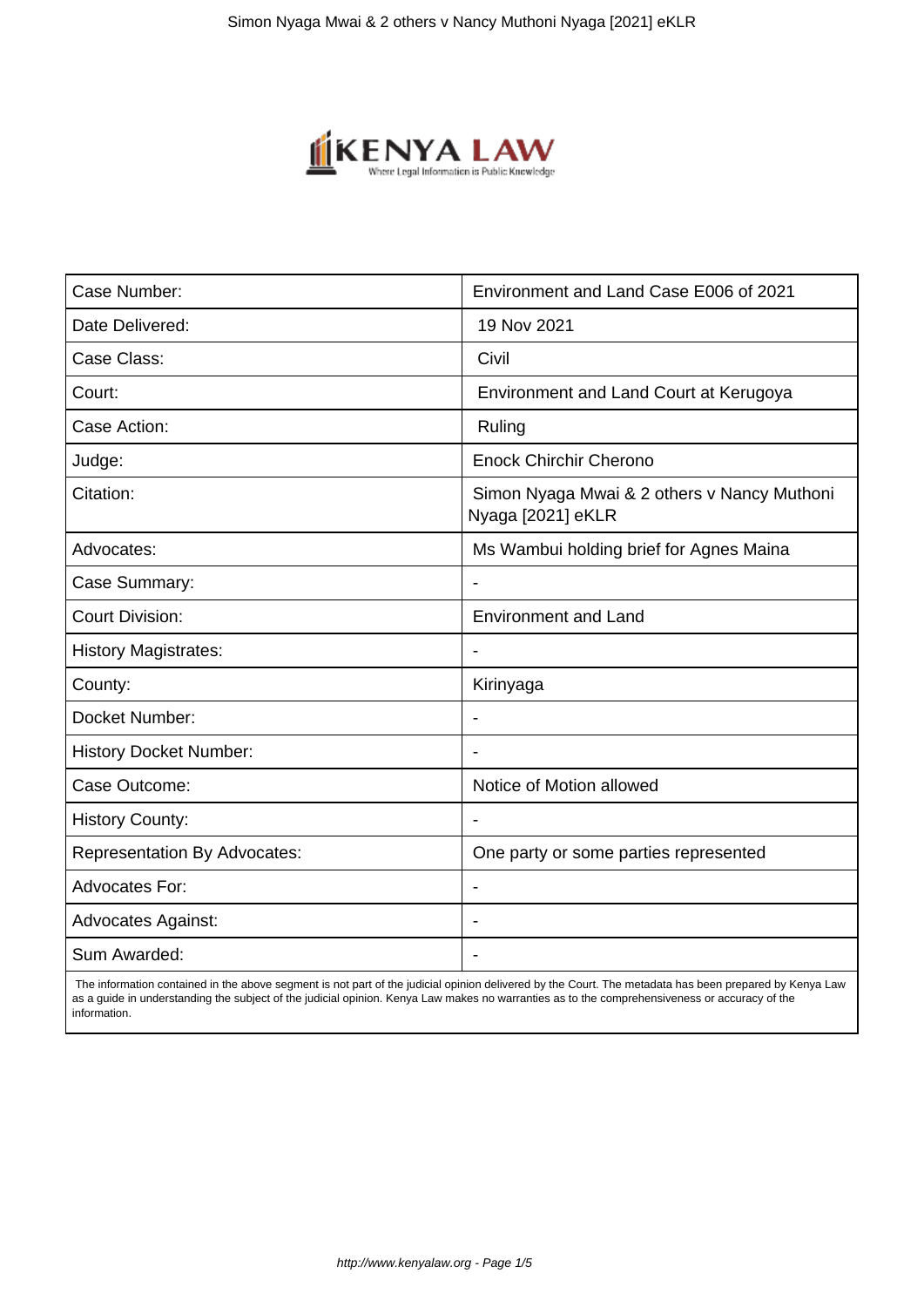

| Case Number:                        | Environment and Land Case E006 of 2021                           |
|-------------------------------------|------------------------------------------------------------------|
| Date Delivered:                     | 19 Nov 2021                                                      |
| Case Class:                         | Civil                                                            |
| Court:                              | Environment and Land Court at Kerugoya                           |
| Case Action:                        | Ruling                                                           |
| Judge:                              | <b>Enock Chirchir Cherono</b>                                    |
| Citation:                           | Simon Nyaga Mwai & 2 others v Nancy Muthoni<br>Nyaga [2021] eKLR |
| Advocates:                          | Ms Wambui holding brief for Agnes Maina                          |
| Case Summary:                       |                                                                  |
| <b>Court Division:</b>              | <b>Environment and Land</b>                                      |
| <b>History Magistrates:</b>         | $\blacksquare$                                                   |
| County:                             | Kirinyaga                                                        |
| Docket Number:                      |                                                                  |
| <b>History Docket Number:</b>       |                                                                  |
| Case Outcome:                       | Notice of Motion allowed                                         |
| <b>History County:</b>              | $\blacksquare$                                                   |
| <b>Representation By Advocates:</b> | One party or some parties represented                            |
| <b>Advocates For:</b>               | $\blacksquare$                                                   |
| <b>Advocates Against:</b>           |                                                                  |
| Sum Awarded:                        |                                                                  |

 The information contained in the above segment is not part of the judicial opinion delivered by the Court. The metadata has been prepared by Kenya Law as a guide in understanding the subject of the judicial opinion. Kenya Law makes no warranties as to the comprehensiveness or accuracy of the information.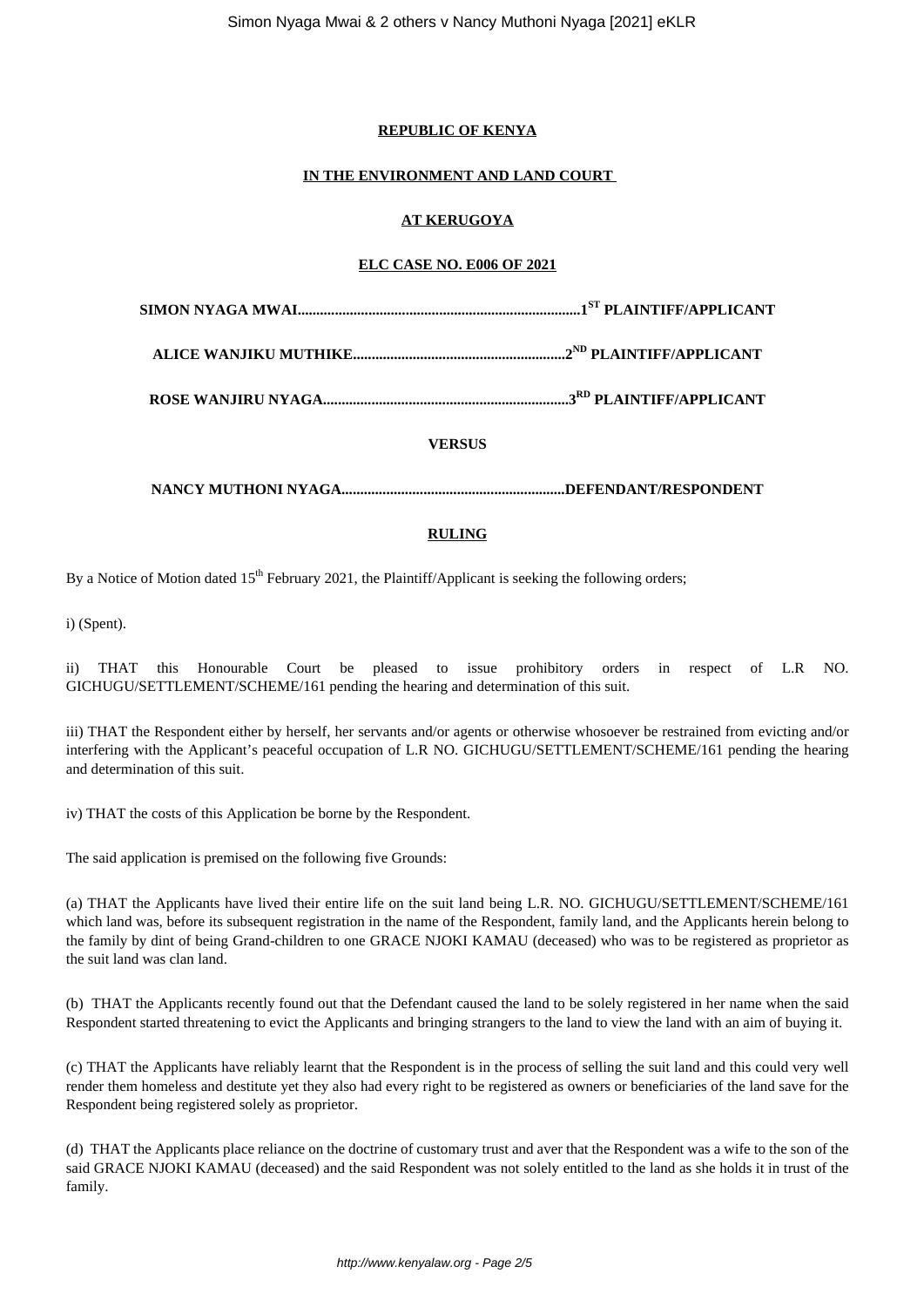#### **REPUBLIC OF KENYA**

### **IN THE ENVIRONMENT AND LAND COURT**

# **AT KERUGOYA**

## **ELC CASE NO. E006 OF 2021**

**ALICE WANJIKU MUTHIKE.........................................................2ND PLAINTIFF/APPLICANT**

**ROSE WANJIRU NYAGA..................................................................3RD PLAINTIFF/APPLICANT**

**VERSUS**

**NANCY MUTHONI NYAGA............................................................DEFENDANT/RESPONDENT**

### **RULING**

By a Notice of Motion dated 15<sup>th</sup> February 2021, the Plaintiff/Applicant is seeking the following orders;

i) (Spent).

ii) THAT this Honourable Court be pleased to issue prohibitory orders in respect of L.R NO. GICHUGU/SETTLEMENT/SCHEME/161 pending the hearing and determination of this suit.

iii) THAT the Respondent either by herself, her servants and/or agents or otherwise whosoever be restrained from evicting and/or interfering with the Applicant's peaceful occupation of L.R NO. GICHUGU/SETTLEMENT/SCHEME/161 pending the hearing and determination of this suit.

iv) THAT the costs of this Application be borne by the Respondent.

The said application is premised on the following five Grounds:

(a) THAT the Applicants have lived their entire life on the suit land being L.R. NO. GICHUGU/SETTLEMENT/SCHEME/161 which land was, before its subsequent registration in the name of the Respondent, family land, and the Applicants herein belong to the family by dint of being Grand-children to one GRACE NJOKI KAMAU (deceased) who was to be registered as proprietor as the suit land was clan land.

(b) THAT the Applicants recently found out that the Defendant caused the land to be solely registered in her name when the said Respondent started threatening to evict the Applicants and bringing strangers to the land to view the land with an aim of buying it.

(c) THAT the Applicants have reliably learnt that the Respondent is in the process of selling the suit land and this could very well render them homeless and destitute yet they also had every right to be registered as owners or beneficiaries of the land save for the Respondent being registered solely as proprietor.

(d) THAT the Applicants place reliance on the doctrine of customary trust and aver that the Respondent was a wife to the son of the said GRACE NJOKI KAMAU (deceased) and the said Respondent was not solely entitled to the land as she holds it in trust of the family.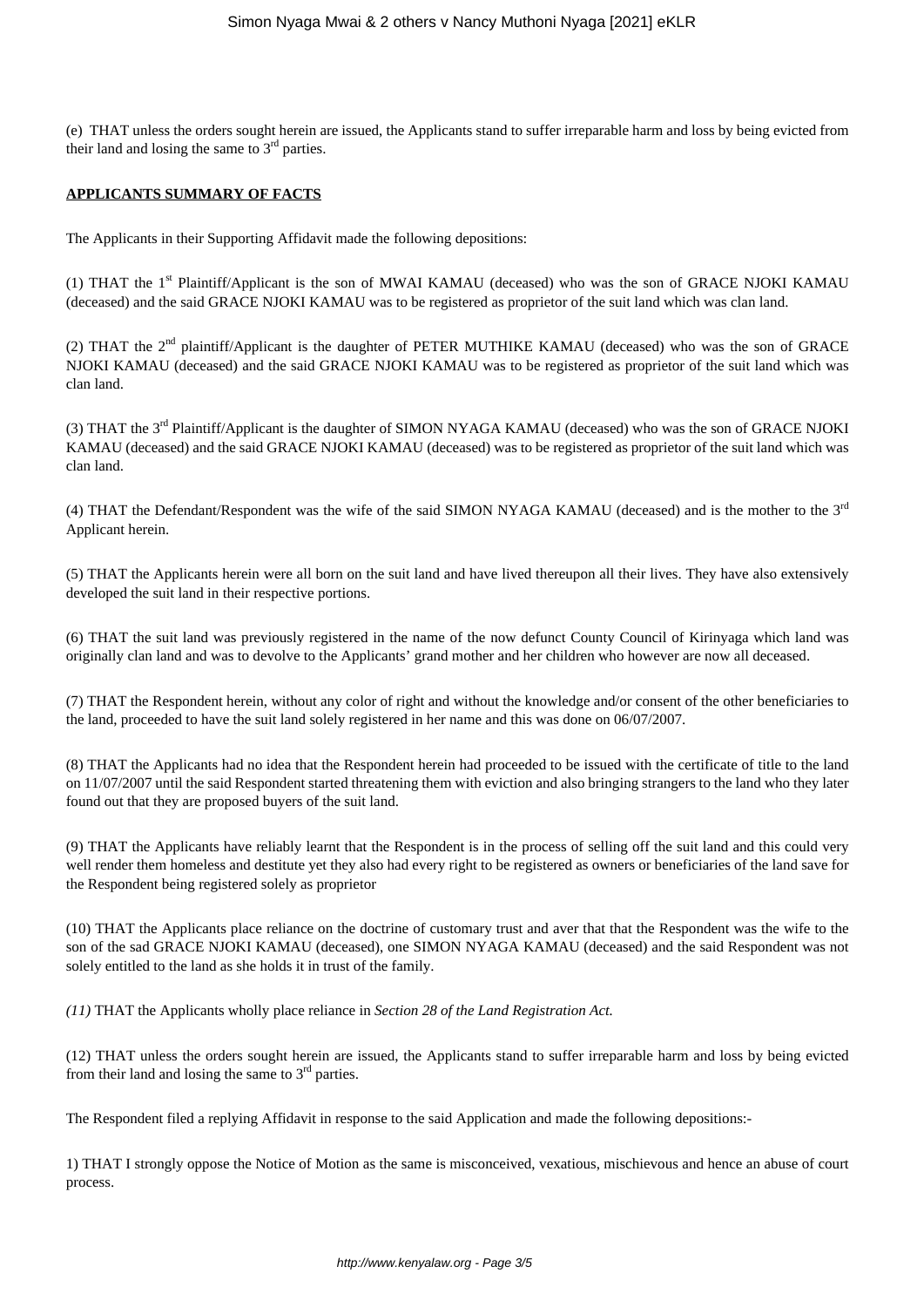(e) THAT unless the orders sought herein are issued, the Applicants stand to suffer irreparable harm and loss by being evicted from their land and losing the same to  $3<sup>rd</sup>$  parties.

#### **APPLICANTS SUMMARY OF FACTS**

The Applicants in their Supporting Affidavit made the following depositions:

(1) THAT the 1st Plaintiff/Applicant is the son of MWAI KAMAU (deceased) who was the son of GRACE NJOKI KAMAU (deceased) and the said GRACE NJOKI KAMAU was to be registered as proprietor of the suit land which was clan land.

(2) THAT the  $2<sup>nd</sup>$  plaintiff/Applicant is the daughter of PETER MUTHIKE KAMAU (deceased) who was the son of GRACE NJOKI KAMAU (deceased) and the said GRACE NJOKI KAMAU was to be registered as proprietor of the suit land which was clan land.

(3) THAT the 3rd Plaintiff/Applicant is the daughter of SIMON NYAGA KAMAU (deceased) who was the son of GRACE NJOKI KAMAU (deceased) and the said GRACE NJOKI KAMAU (deceased) was to be registered as proprietor of the suit land which was clan land.

(4) THAT the Defendant/Respondent was the wife of the said SIMON NYAGA KAMAU (deceased) and is the mother to the  $3<sup>rd</sup>$ Applicant herein.

(5) THAT the Applicants herein were all born on the suit land and have lived thereupon all their lives. They have also extensively developed the suit land in their respective portions.

(6) THAT the suit land was previously registered in the name of the now defunct County Council of Kirinyaga which land was originally clan land and was to devolve to the Applicants' grand mother and her children who however are now all deceased.

(7) THAT the Respondent herein, without any color of right and without the knowledge and/or consent of the other beneficiaries to the land, proceeded to have the suit land solely registered in her name and this was done on 06/07/2007.

(8) THAT the Applicants had no idea that the Respondent herein had proceeded to be issued with the certificate of title to the land on 11/07/2007 until the said Respondent started threatening them with eviction and also bringing strangers to the land who they later found out that they are proposed buyers of the suit land.

(9) THAT the Applicants have reliably learnt that the Respondent is in the process of selling off the suit land and this could very well render them homeless and destitute yet they also had every right to be registered as owners or beneficiaries of the land save for the Respondent being registered solely as proprietor

(10) THAT the Applicants place reliance on the doctrine of customary trust and aver that that the Respondent was the wife to the son of the sad GRACE NJOKI KAMAU (deceased), one SIMON NYAGA KAMAU (deceased) and the said Respondent was not solely entitled to the land as she holds it in trust of the family.

*(11)* THAT the Applicants wholly place reliance in *Section 28 of the Land Registration Act.*

(12) THAT unless the orders sought herein are issued, the Applicants stand to suffer irreparable harm and loss by being evicted from their land and losing the same to  $3<sup>rd</sup>$  parties.

The Respondent filed a replying Affidavit in response to the said Application and made the following depositions:-

1) THAT I strongly oppose the Notice of Motion as the same is misconceived, vexatious, mischievous and hence an abuse of court process.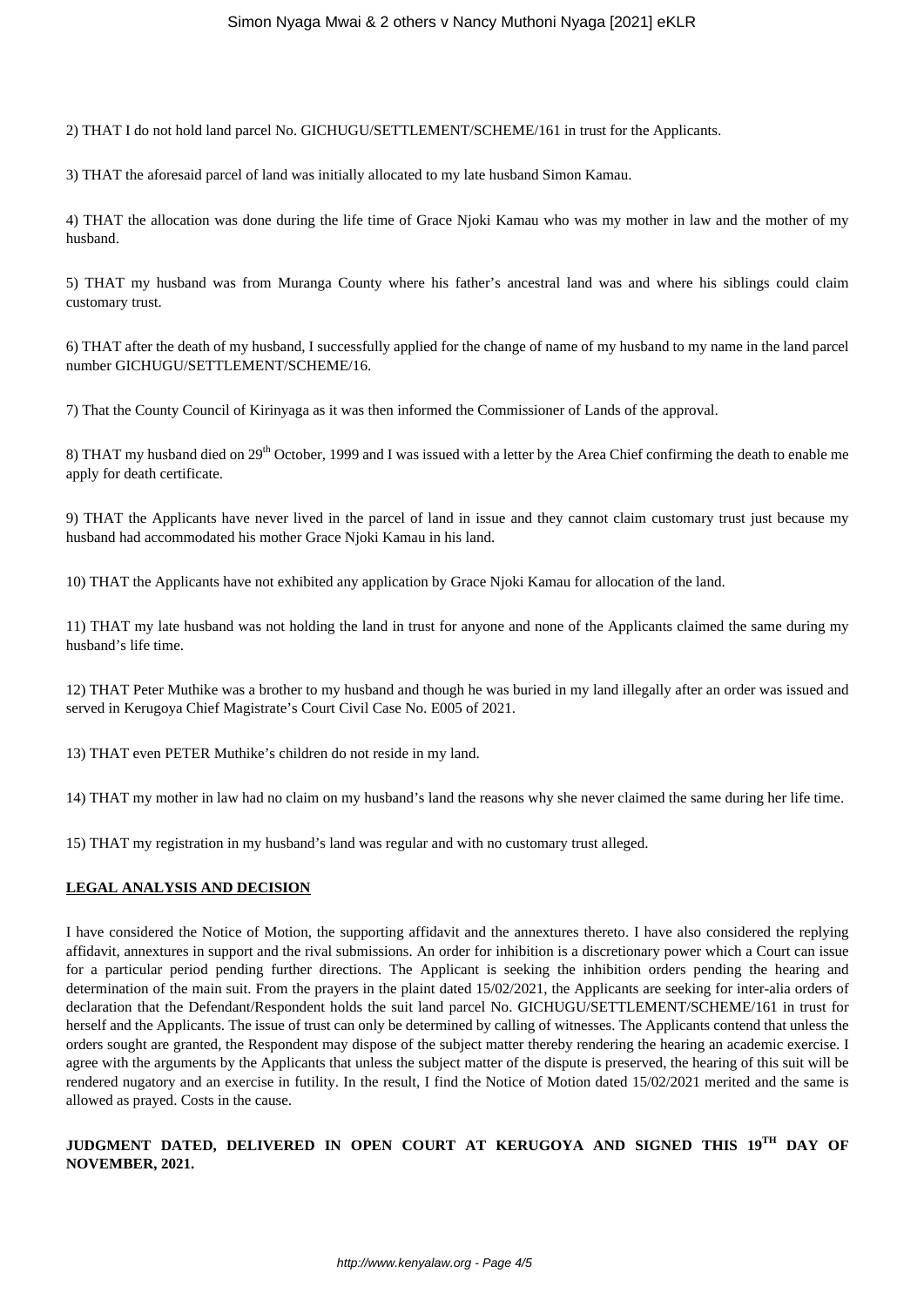2) THAT I do not hold land parcel No. GICHUGU/SETTLEMENT/SCHEME/161 in trust for the Applicants.

3) THAT the aforesaid parcel of land was initially allocated to my late husband Simon Kamau.

4) THAT the allocation was done during the life time of Grace Njoki Kamau who was my mother in law and the mother of my husband.

5) THAT my husband was from Muranga County where his father's ancestral land was and where his siblings could claim customary trust.

6) THAT after the death of my husband, I successfully applied for the change of name of my husband to my name in the land parcel number GICHUGU/SETTLEMENT/SCHEME/16.

7) That the County Council of Kirinyaga as it was then informed the Commissioner of Lands of the approval.

8) THAT my husband died on  $29<sup>th</sup>$  October, 1999 and I was issued with a letter by the Area Chief confirming the death to enable me apply for death certificate.

9) THAT the Applicants have never lived in the parcel of land in issue and they cannot claim customary trust just because my husband had accommodated his mother Grace Njoki Kamau in his land.

10) THAT the Applicants have not exhibited any application by Grace Njoki Kamau for allocation of the land.

11) THAT my late husband was not holding the land in trust for anyone and none of the Applicants claimed the same during my husband's life time.

12) THAT Peter Muthike was a brother to my husband and though he was buried in my land illegally after an order was issued and served in Kerugoya Chief Magistrate's Court Civil Case No. E005 of 2021.

13) THAT even PETER Muthike's children do not reside in my land.

14) THAT my mother in law had no claim on my husband's land the reasons why she never claimed the same during her life time.

15) THAT my registration in my husband's land was regular and with no customary trust alleged.

#### **LEGAL ANALYSIS AND DECISION**

I have considered the Notice of Motion, the supporting affidavit and the annextures thereto. I have also considered the replying affidavit, annextures in support and the rival submissions. An order for inhibition is a discretionary power which a Court can issue for a particular period pending further directions. The Applicant is seeking the inhibition orders pending the hearing and determination of the main suit. From the prayers in the plaint dated 15/02/2021, the Applicants are seeking for inter-alia orders of declaration that the Defendant/Respondent holds the suit land parcel No. GICHUGU/SETTLEMENT/SCHEME/161 in trust for herself and the Applicants. The issue of trust can only be determined by calling of witnesses. The Applicants contend that unless the orders sought are granted, the Respondent may dispose of the subject matter thereby rendering the hearing an academic exercise. I agree with the arguments by the Applicants that unless the subject matter of the dispute is preserved, the hearing of this suit will be rendered nugatory and an exercise in futility. In the result, I find the Notice of Motion dated 15/02/2021 merited and the same is allowed as prayed. Costs in the cause.

# **JUDGMENT DATED, DELIVERED IN OPEN COURT AT KERUGOYA AND SIGNED THIS 19TH DAY OF NOVEMBER, 2021.**